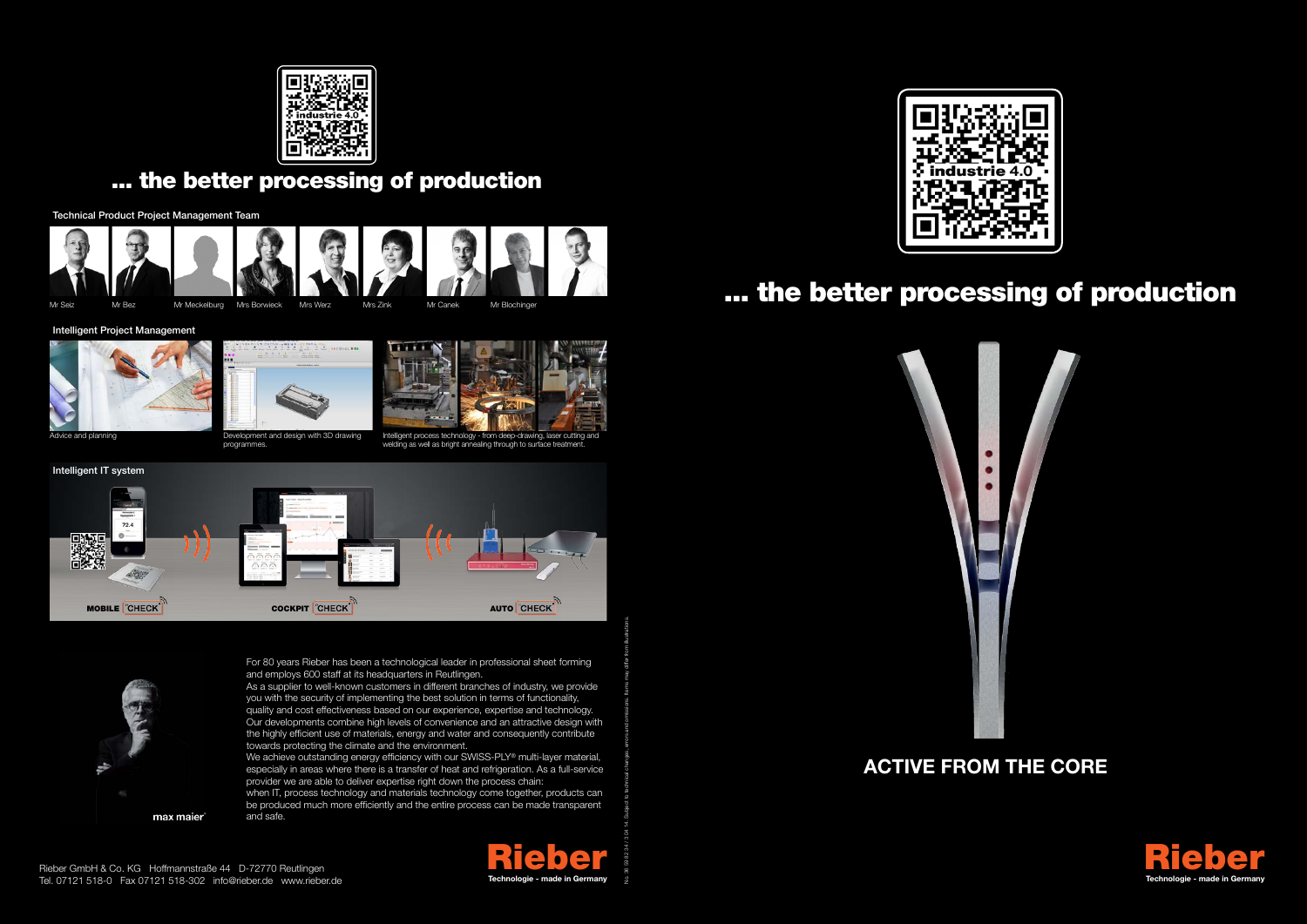



## ... the better processing of production

# **Active from the core**



Intelligent process technology - from deep-drawing, laser cutting an welding as well as bright annealing through to surface treatment.



Intelligent Project Management



Advice and planning **Development and design with 3D drawing** 

programmes.



Technical Product Project Management Team







Mr Seiz Mr Bez Mr Meckelburg Mrs Borwieck Mrs Werz Mrs Zink Mr Canek Mr Blochinger

For 80 years Rieber has been a technological leader in professional sheet forming and employs 600 staff at its headquarters in Reutlingen.

We achieve outstanding energy efficiency with our SWISS-PLY® multi-layer material, especially in areas where there is a transfer of heat and refrigeration. As a full-service provider we are able to deliver expertise right down the process chain:





As a supplier to well-known customers in different branches of industry, we provide you with the security of implementing the best solution in terms of functionality, quality and cost effectiveness based on our experience, expertise and technology. Our developments combine high levels of convenience and an attractive design with the highly efficient use of materials, energy and water and consequently contribute towards protecting the climate and the environment.

when IT, process technology and materials technology come together, products can be produced much more efficiently and the entire process can be made transparent and safe.

No. 36 59 82 34 / 3 04 14. Subject to technical changes, errors and omissions. Items may differ from illustrations.



# ... the better processing of production